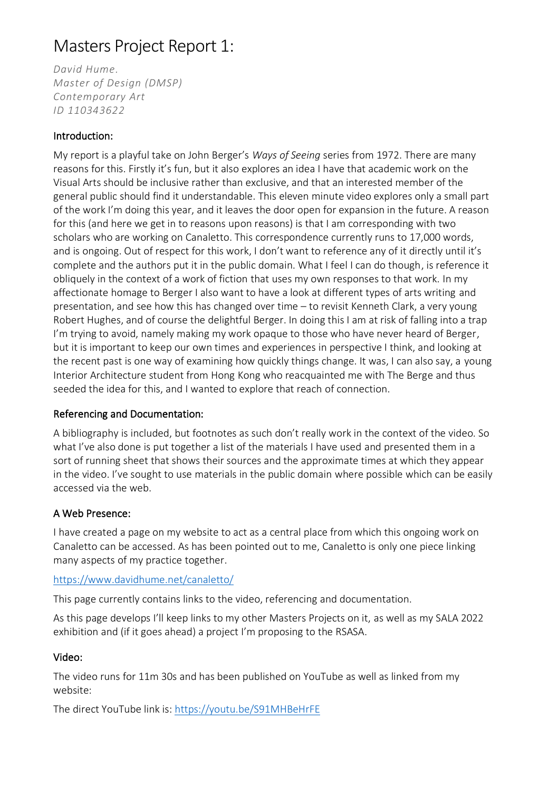# Masters Project Report 1:

*David Hume. Master of Design (DMSP) Contemporary Art ID 110343622*

## Introduction:

My report is a playful take on John Berger's *Ways of Seeing* series from 1972. There are many reasons for this. Firstly it's fun, but it also explores an idea I have that academic work on the Visual Arts should be inclusive rather than exclusive, and that an interested member of the general public should find it understandable. This eleven minute video explores only a small part of the work I'm doing this year, and it leaves the door open for expansion in the future. A reason for this (and here we get in to reasons upon reasons) is that I am corresponding with two scholars who are working on Canaletto. This correspondence currently runs to 17,000 words, and is ongoing. Out of respect for this work, I don't want to reference any of it directly until it's complete and the authors put it in the public domain. What I feel I can do though, is reference it obliquely in the context of a work of fiction that uses my own responses to that work. In my affectionate homage to Berger I also want to have a look at different types of arts writing and presentation, and see how this has changed over time – to revisit Kenneth Clark, a very young Robert Hughes, and of course the delightful Berger. In doing this I am at risk of falling into a trap I'm trying to avoid, namely making my work opaque to those who have never heard of Berger, but it is important to keep our own times and experiences in perspective I think, and looking at the recent past is one way of examining how quickly things change. It was, I can also say, a young Interior Architecture student from Hong Kong who reacquainted me with The Berge and thus seeded the idea for this, and I wanted to explore that reach of connection.

## Referencing and Documentation:

A bibliography is included, but footnotes as such don't really work in the context of the video. So what I've also done is put together a list of the materials I have used and presented them in a sort of running sheet that shows their sources and the approximate times at which they appear in the video. I've sought to use materials in the public domain where possible which can be easily accessed via the web.

## A Web Presence:

I have created a page on my website to act as a central place from which this ongoing work on Canaletto can be accessed. As has been pointed out to me, Canaletto is only one piece linking many aspects of my practice together.

## <https://www.davidhume.net/canaletto/>

This page currently contains links to the video, referencing and documentation.

As this page develops I'll keep links to my other Masters Projects on it, as well as my SALA 2022 exhibition and (if it goes ahead) a project I'm proposing to the RSASA.

## Video:

The video runs for 11m 30s and has been published on YouTube as well as linked from my website:

The direct YouTube link is:<https://youtu.be/S91MHBeHrFE>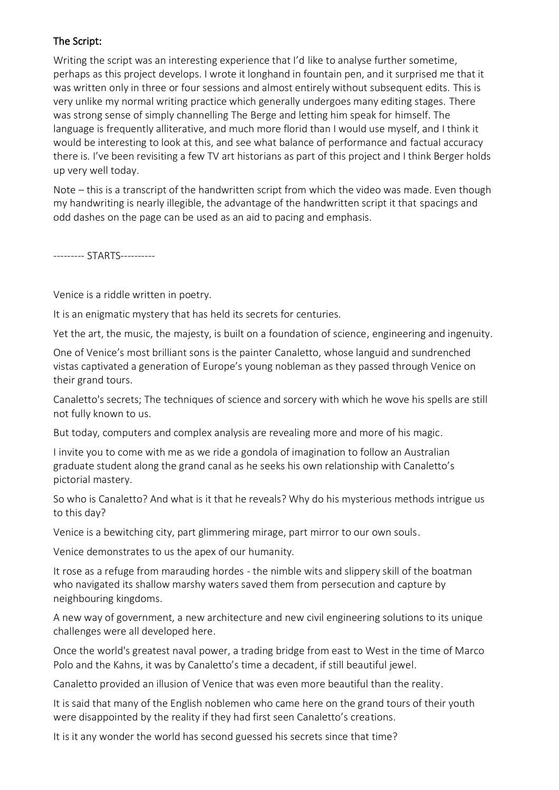#### The Script:

Writing the script was an interesting experience that I'd like to analyse further sometime, perhaps as this project develops. I wrote it longhand in fountain pen, and it surprised me that it was written only in three or four sessions and almost entirely without subsequent edits. This is very unlike my normal writing practice which generally undergoes many editing stages. There was strong sense of simply channelling The Berge and letting him speak for himself. The language is frequently alliterative, and much more florid than I would use myself, and I think it would be interesting to look at this, and see what balance of performance and factual accuracy there is. I've been revisiting a few TV art historians as part of this project and I think Berger holds up very well today.

Note – this is a transcript of the handwritten script from which the video was made. Even though my handwriting is nearly illegible, the advantage of the handwritten script it that spacings and odd dashes on the page can be used as an aid to pacing and emphasis.

--------- STARTS----------

Venice is a riddle written in poetry.

It is an enigmatic mystery that has held its secrets for centuries.

Yet the art, the music, the majesty, is built on a foundation of science, engineering and ingenuity.

One of Venice's most brilliant sons is the painter Canaletto, whose languid and sundrenched vistas captivated a generation of Europe's young nobleman as they passed through Venice on their grand tours.

Canaletto's secrets; The techniques of science and sorcery with which he wove his spells are still not fully known to us.

But today, computers and complex analysis are revealing more and more of his magic.

I invite you to come with me as we ride a gondola of imagination to follow an Australian graduate student along the grand canal as he seeks his own relationship with Canaletto's pictorial mastery.

So who is Canaletto? And what is it that he reveals? Why do his mysterious methods intrigue us to this day?

Venice is a bewitching city, part glimmering mirage, part mirror to our own souls.

Venice demonstrates to us the apex of our humanity.

It rose as a refuge from marauding hordes - the nimble wits and slippery skill of the boatman who navigated its shallow marshy waters saved them from persecution and capture by neighbouring kingdoms.

A new way of government, a new architecture and new civil engineering solutions to its unique challenges were all developed here.

Once the world's greatest naval power, a trading bridge from east to West in the time of Marco Polo and the Kahns, it was by Canaletto's time a decadent, if still beautiful jewel.

Canaletto provided an illusion of Venice that was even more beautiful than the reality.

It is said that many of the English noblemen who came here on the grand tours of their youth were disappointed by the reality if they had first seen Canaletto's creations.

It is it any wonder the world has second guessed his secrets since that time?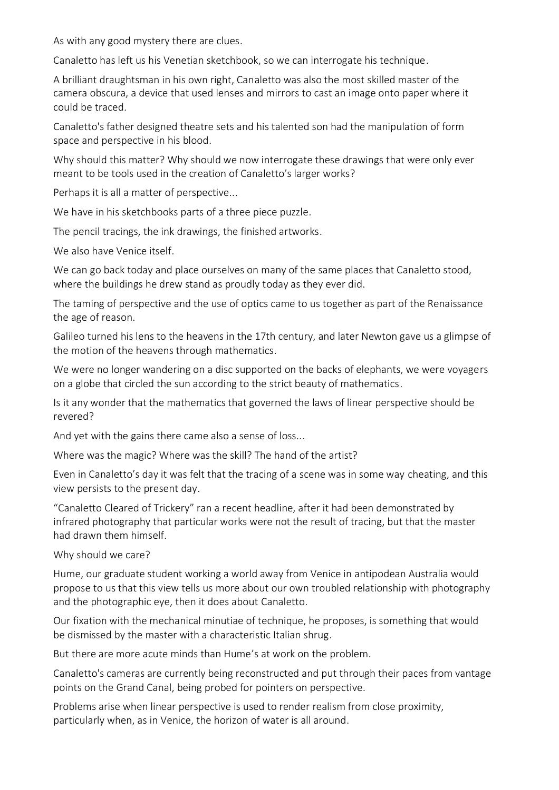As with any good mystery there are clues.

Canaletto has left us his Venetian sketchbook, so we can interrogate his technique.

A brilliant draughtsman in his own right, Canaletto was also the most skilled master of the camera obscura, a device that used lenses and mirrors to cast an image onto paper where it could be traced.

Canaletto's father designed theatre sets and his talented son had the manipulation of form space and perspective in his blood.

Why should this matter? Why should we now interrogate these drawings that were only ever meant to be tools used in the creation of Canaletto's larger works?

Perhaps it is all a matter of perspective...

We have in his sketchbooks parts of a three piece puzzle.

The pencil tracings, the ink drawings, the finished artworks.

We also have Venice itself.

We can go back today and place ourselves on many of the same places that Canaletto stood, where the buildings he drew stand as proudly today as they ever did.

The taming of perspective and the use of optics came to us together as part of the Renaissance the age of reason.

Galileo turned his lens to the heavens in the 17th century, and later Newton gave us a glimpse of the motion of the heavens through mathematics.

We were no longer wandering on a disc supported on the backs of elephants, we were voyagers on a globe that circled the sun according to the strict beauty of mathematics.

Is it any wonder that the mathematics that governed the laws of linear perspective should be revered?

And yet with the gains there came also a sense of loss...

Where was the magic? Where was the skill? The hand of the artist?

Even in Canaletto's day it was felt that the tracing of a scene was in some way cheating, and this view persists to the present day.

"Canaletto Cleared of Trickery" ran a recent headline, after it had been demonstrated by infrared photography that particular works were not the result of tracing, but that the master had drawn them himself.

Why should we care?

Hume, our graduate student working a world away from Venice in antipodean Australia would propose to us that this view tells us more about our own troubled relationship with photography and the photographic eye, then it does about Canaletto.

Our fixation with the mechanical minutiae of technique, he proposes, is something that would be dismissed by the master with a characteristic Italian shrug.

But there are more acute minds than Hume's at work on the problem.

Canaletto's cameras are currently being reconstructed and put through their paces from vantage points on the Grand Canal, being probed for pointers on perspective.

Problems arise when linear perspective is used to render realism from close proximity, particularly when, as in Venice, the horizon of water is all around.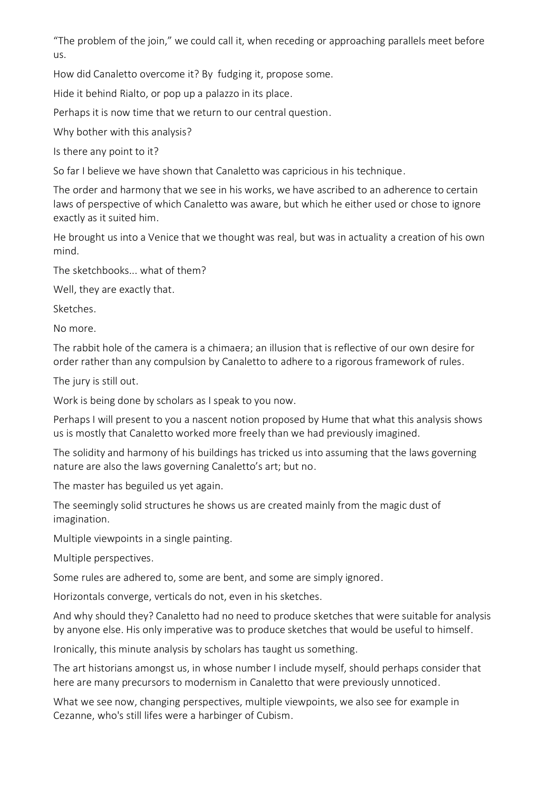"The problem of the join," we could call it, when receding or approaching parallels meet before us.

How did Canaletto overcome it? By fudging it, propose some.

Hide it behind Rialto, or pop up a palazzo in its place.

Perhaps it is now time that we return to our central question.

Why bother with this analysis?

Is there any point to it?

So far I believe we have shown that Canaletto was capricious in his technique.

The order and harmony that we see in his works, we have ascribed to an adherence to certain laws of perspective of which Canaletto was aware, but which he either used or chose to ignore exactly as it suited him.

He brought us into a Venice that we thought was real, but was in actuality a creation of his own mind.

The sketchbooks... what of them?

Well, they are exactly that.

Sketches.

No more.

The rabbit hole of the camera is a chimaera; an illusion that is reflective of our own desire for order rather than any compulsion by Canaletto to adhere to a rigorous framework of rules.

The jury is still out.

Work is being done by scholars as I speak to you now.

Perhaps I will present to you a nascent notion proposed by Hume that what this analysis shows us is mostly that Canaletto worked more freely than we had previously imagined.

The solidity and harmony of his buildings has tricked us into assuming that the laws governing nature are also the laws governing Canaletto's art; but no.

The master has beguiled us yet again.

The seemingly solid structures he shows us are created mainly from the magic dust of imagination.

Multiple viewpoints in a single painting.

Multiple perspectives.

Some rules are adhered to, some are bent, and some are simply ignored.

Horizontals converge, verticals do not, even in his sketches.

And why should they? Canaletto had no need to produce sketches that were suitable for analysis by anyone else. His only imperative was to produce sketches that would be useful to himself.

Ironically, this minute analysis by scholars has taught us something.

The art historians amongst us, in whose number I include myself, should perhaps consider that here are many precursors to modernism in Canaletto that were previously unnoticed.

What we see now, changing perspectives, multiple viewpoints, we also see for example in Cezanne, who's still lifes were a harbinger of Cubism.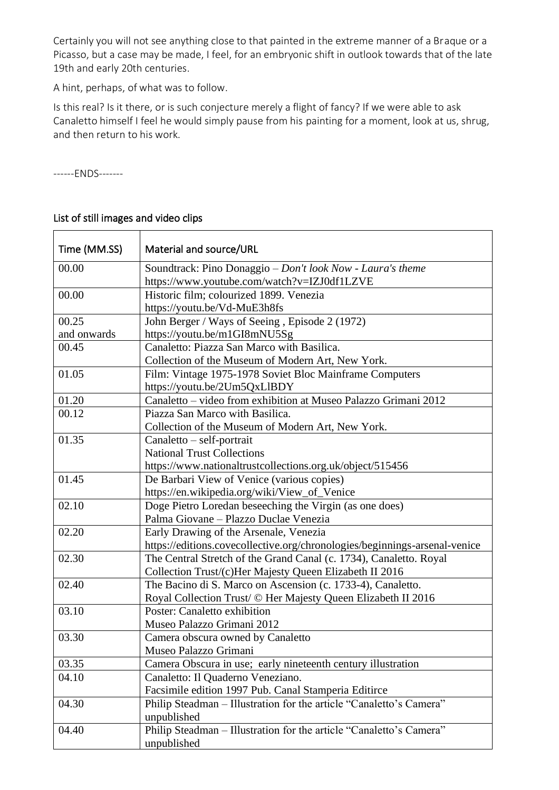Certainly you will not see anything close to that painted in the extreme manner of a Braque or a Picasso, but a case may be made, I feel, for an embryonic shift in outlook towards that of the late 19th and early 20th centuries.

A hint, perhaps, of what was to follow.

Is this real? Is it there, or is such conjecture merely a flight of fancy? If we were able to ask Canaletto himself I feel he would simply pause from his painting for a moment, look at us, shrug, and then return to his work.

------ENDS-------

| Time (MM.SS) | Material and source/URL                                                            |
|--------------|------------------------------------------------------------------------------------|
| 00.00        | Soundtrack: Pino Donaggio - Don't look Now - Laura's theme                         |
|              | https://www.youtube.com/watch?v=IZJ0df1LZVE                                        |
| 00.00        | Historic film; colourized 1899. Venezia                                            |
|              | https://youtu.be/Vd-MuE3h8fs                                                       |
| 00.25        | John Berger / Ways of Seeing, Episode 2 (1972)                                     |
| and onwards  | https://youtu.be/m1GI8mNU5Sg                                                       |
| 00.45        | Canaletto: Piazza San Marco with Basilica.                                         |
|              | Collection of the Museum of Modern Art, New York.                                  |
| 01.05        | Film: Vintage 1975-1978 Soviet Bloc Mainframe Computers                            |
|              | https://youtu.be/2Um5QxLlBDY                                                       |
| 01.20        | Canaletto – video from exhibition at Museo Palazzo Grimani 2012                    |
| 00.12        | Piazza San Marco with Basilica.                                                    |
|              | Collection of the Museum of Modern Art, New York.                                  |
| 01.35        | $Canaletto - self-portrait$                                                        |
|              | <b>National Trust Collections</b>                                                  |
|              | https://www.nationaltrustcollections.org.uk/object/515456                          |
| 01.45        | De Barbari View of Venice (various copies)                                         |
|              | https://en.wikipedia.org/wiki/View_of_Venice                                       |
| 02.10        | Doge Pietro Loredan beseeching the Virgin (as one does)                            |
|              | Palma Giovane - Plazzo Duclae Venezia                                              |
| 02.20        | Early Drawing of the Arsenale, Venezia                                             |
|              | https://editions.covecollective.org/chronologies/beginnings-arsenal-venice         |
| 02.30        | The Central Stretch of the Grand Canal (c. 1734), Canaletto. Royal                 |
|              | Collection Trust/(c)Her Majesty Queen Elizabeth II 2016                            |
| 02.40        | The Bacino di S. Marco on Ascension (c. 1733-4), Canaletto.                        |
|              | Royal Collection Trust/ © Her Majesty Queen Elizabeth II 2016                      |
| 03.10        | Poster: Canaletto exhibition                                                       |
|              | Museo Palazzo Grimani 2012                                                         |
| 03.30        | Camera obscura owned by Canaletto                                                  |
|              | Museo Palazzo Grimani                                                              |
| 03.35        | Camera Obscura in use; early nineteenth century illustration                       |
| 04.10        | Canaletto: Il Quaderno Veneziano.                                                  |
|              | Facsimile edition 1997 Pub. Canal Stamperia Editirce                               |
| 04.30        | Philip Steadman - Illustration for the article "Canaletto's Camera"                |
|              | unpublished                                                                        |
| 04.40        | Philip Steadman - Illustration for the article "Canaletto's Camera"<br>unpublished |

## List of still images and video clips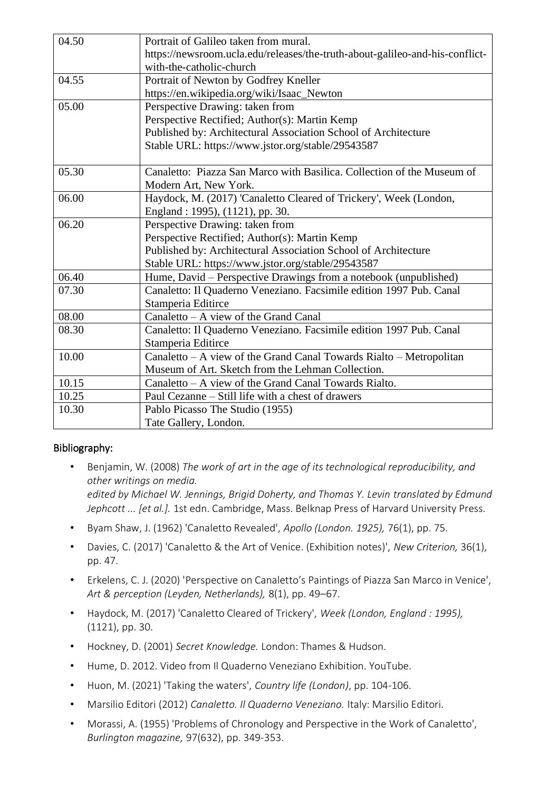| 04.50 | Portrait of Galileo taken from mural.                                        |
|-------|------------------------------------------------------------------------------|
|       | https://newsroom.ucla.edu/releases/the-truth-about-galileo-and-his-conflict- |
|       | with-the-catholic-church                                                     |
| 04.55 | Portrait of Newton by Godfrey Kneller                                        |
|       | https://en.wikipedia.org/wiki/Isaac_Newton                                   |
| 05.00 | Perspective Drawing: taken from                                              |
|       | Perspective Rectified; Author(s): Martin Kemp                                |
|       | Published by: Architectural Association School of Architecture               |
|       | Stable URL: https://www.jstor.org/stable/29543587                            |
|       |                                                                              |
| 05.30 | Canaletto: Piazza San Marco with Basilica. Collection of the Museum of       |
|       | Modern Art, New York.                                                        |
| 06.00 | Haydock, M. (2017) 'Canaletto Cleared of Trickery', Week (London,            |
|       | England: 1995), (1121), pp. 30.                                              |
| 06.20 | Perspective Drawing: taken from                                              |
|       | Perspective Rectified; Author(s): Martin Kemp                                |
|       | Published by: Architectural Association School of Architecture               |
|       | Stable URL: https://www.jstor.org/stable/29543587                            |
| 06.40 | Hume, David - Perspective Drawings from a notebook (unpublished)             |
| 07.30 | Canaletto: Il Quaderno Veneziano. Facsimile edition 1997 Pub. Canal          |
|       | Stamperia Editirce                                                           |
| 08.00 | Canaletto – A view of the Grand Canal                                        |
| 08.30 | Canaletto: Il Quaderno Veneziano. Facsimile edition 1997 Pub. Canal          |
|       | Stamperia Editirce                                                           |
| 10.00 | Canaletto – A view of the Grand Canal Towards Rialto – Metropolitan          |
|       | Museum of Art. Sketch from the Lehman Collection.                            |
| 10.15 | Canaletto - A view of the Grand Canal Towards Rialto.                        |
| 10.25 | Paul Cezanne – Still life with a chest of drawers                            |
| 10.30 | Pablo Picasso The Studio (1955)                                              |
|       | Tate Gallery, London.                                                        |

## Bibliography:

- Benjamin, W. (2008) *The work of art in the age of its technological reproducibility, and other writings on media. edited by Michael W. Jennings, Brigid Doherty, and Thomas Y. Levin translated by Edmund Jephcott ... [et al.].* 1st edn. Cambridge, Mass. Belknap Press of Harvard University Press.
- Byam Shaw, J. (1962) 'Canaletto Revealed', *Apollo (London. 1925),* 76(1), pp. 75.
- Davies, C. (2017) 'Canaletto & the Art of Venice. (Exhibition notes)', *New Criterion,* 36(1), pp. 47.
- Erkelens, C. J. (2020) 'Perspective on Canaletto's Paintings of Piazza San Marco in Venice', *Art & perception (Leyden, Netherlands),* 8(1), pp. 49–67.
- Haydock, M. (2017) 'Canaletto Cleared of Trickery', *Week (London, England : 1995),* (1121), pp. 30.
- Hockney, D. (2001) *Secret Knowledge.* London: Thames & Hudson.
- Hume, D. 2012. Video from Il Quaderno Veneziano Exhibition. YouTube.
- Huon, M. (2021) 'Taking the waters', *Country life (London)*, pp. 104-106.
- Marsilio Editori (2012) *Canaletto. Il Quaderno Veneziano.* Italy: Marsilio Editori.
- Morassi, A. (1955) 'Problems of Chronology and Perspective in the Work of Canaletto', *Burlington magazine,* 97(632), pp. 349-353.